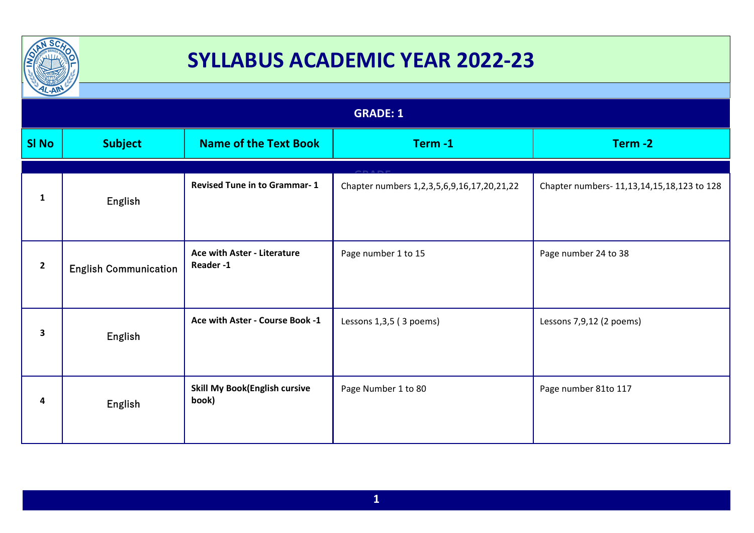

| $12 - A  $      |                              |                                               |                                            |                                            |
|-----------------|------------------------------|-----------------------------------------------|--------------------------------------------|--------------------------------------------|
| <b>GRADE: 1</b> |                              |                                               |                                            |                                            |
| <b>SI No</b>    | <b>Subject</b>               | <b>Name of the Text Book</b>                  | Term-1                                     | Term-2                                     |
|                 |                              |                                               |                                            |                                            |
| $\mathbf{1}$    | English                      | <b>Revised Tune in to Grammar-1</b>           | Chapter numbers 1,2,3,5,6,9,16,17,20,21,22 | Chapter numbers- 11,13,14,15,18,123 to 128 |
| $\overline{2}$  | <b>English Communication</b> | Ace with Aster - Literature<br>Reader-1       | Page number 1 to 15                        | Page number 24 to 38                       |
| 3               | English                      | Ace with Aster - Course Book -1               | Lessons 1,3,5 (3 poems)                    | Lessons 7,9,12 (2 poems)                   |
| 4               | <b>English</b>               | <b>Skill My Book(English cursive</b><br>book) | Page Number 1 to 80                        | Page number 81to 117                       |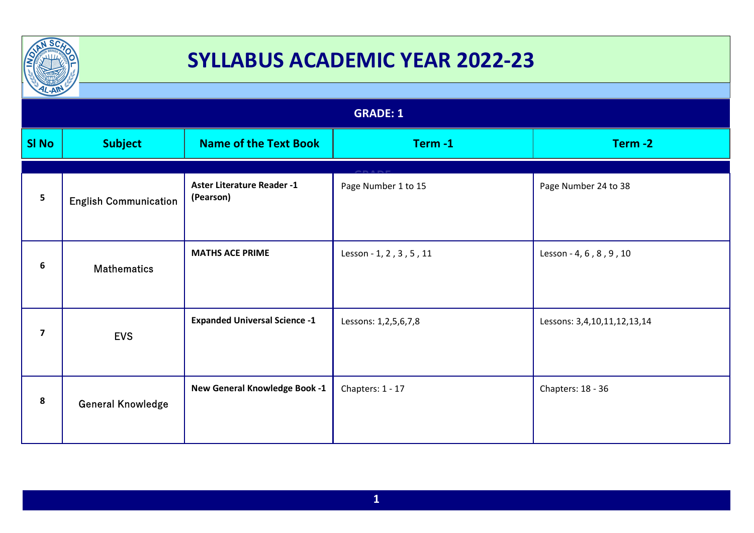

| $L-AW$                  |                              |                                                |                         |                             |  |
|-------------------------|------------------------------|------------------------------------------------|-------------------------|-----------------------------|--|
|                         | <b>GRADE: 1</b>              |                                                |                         |                             |  |
| <b>SI No</b>            | <b>Subject</b>               | <b>Name of the Text Book</b>                   | Term-1                  | Term-2                      |  |
| 5                       | <b>English Communication</b> | <b>Aster Literature Reader -1</b><br>(Pearson) | Page Number 1 to 15     | Page Number 24 to 38        |  |
| 6                       | <b>Mathematics</b>           | <b>MATHS ACE PRIME</b>                         | Lesson - 1, 2, 3, 5, 11 | Lesson - 4, 6, 8, 9, 10     |  |
| $\overline{\mathbf{z}}$ | <b>EVS</b>                   | <b>Expanded Universal Science -1</b>           | Lessons: 1,2,5,6,7,8    | Lessons: 3,4,10,11,12,13,14 |  |
| 8                       | <b>General Knowledge</b>     | New General Knowledge Book -1                  | Chapters: 1 - 17        | Chapters: 18 - 36           |  |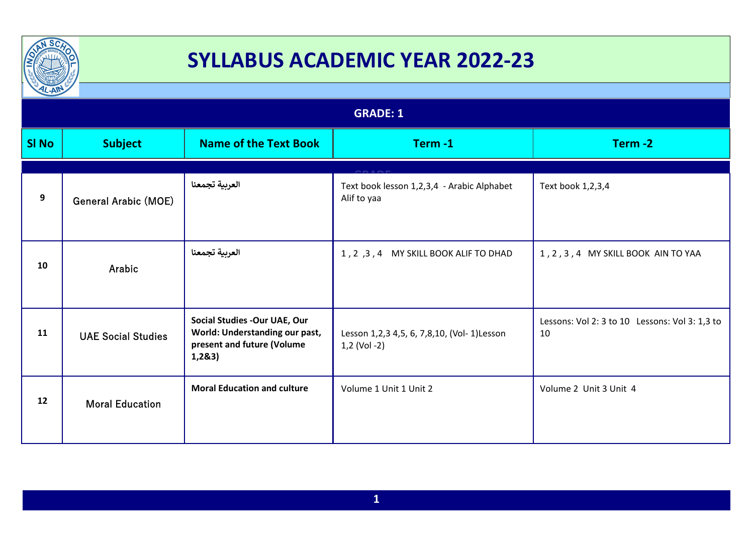

| $\frac{1}{2}$   |                             |                                                                                                         |                                                              |                                                      |
|-----------------|-----------------------------|---------------------------------------------------------------------------------------------------------|--------------------------------------------------------------|------------------------------------------------------|
| <b>GRADE: 1</b> |                             |                                                                                                         |                                                              |                                                      |
| <b>SI No</b>    | <b>Subject</b>              | <b>Name of the Text Book</b>                                                                            | Term-1                                                       | Term-2                                               |
|                 |                             |                                                                                                         |                                                              |                                                      |
| 9               | <b>General Arabic (MOE)</b> | العربية تجمعنا                                                                                          | Text book lesson 1,2,3,4 - Arabic Alphabet<br>Alif to yaa    | Text book 1,2,3,4                                    |
| 10              | Arabic                      | العربية تجمعنا                                                                                          | 1, 2, 3, 4 MY SKILL BOOK ALIF TO DHAD                        | 1, 2, 3, 4 MY SKILL BOOK AIN TO YAA                  |
| 11              | <b>UAE Social Studies</b>   | Social Studies - Our UAE, Our<br>World: Understanding our past,<br>present and future (Volume<br>1,283) | Lesson 1,2,3 4,5, 6, 7,8,10, (Vol- 1) Lesson<br>1,2 (Vol -2) | Lessons: Vol 2: 3 to 10 Lessons: Vol 3: 1,3 to<br>10 |
| 12              | <b>Moral Education</b>      | <b>Moral Education and culture</b>                                                                      | Volume 1 Unit 1 Unit 2                                       | Volume 2 Unit 3 Unit 4                               |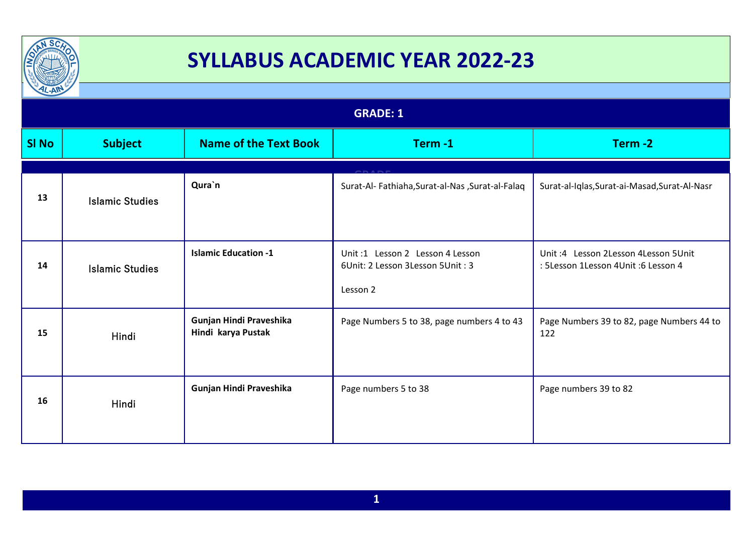

| <b>GRADE: 1</b>        |                                               |                                                                                   |                                                                             |  |
|------------------------|-----------------------------------------------|-----------------------------------------------------------------------------------|-----------------------------------------------------------------------------|--|
| <b>Subject</b>         | <b>Name of the Text Book</b>                  | Term-1                                                                            | Term-2                                                                      |  |
|                        |                                               |                                                                                   |                                                                             |  |
| <b>Islamic Studies</b> | Qura`n                                        | Surat-Al- Fathiaha, Surat-al-Nas, Surat-al-Falaq                                  | Surat-al-Iqlas, Surat-ai-Masad, Surat-Al-Nasr                               |  |
| <b>Islamic Studies</b> | <b>Islamic Education -1</b>                   | Unit:1 Lesson 2 Lesson 4 Lesson<br>6Unit: 2 Lesson 3 Lesson 5 Unit: 3<br>Lesson 2 | Unit: 4 Lesson 2Lesson 4Lesson 5Unit<br>: 5Lesson 1Lesson 4Unit :6 Lesson 4 |  |
| Hindi                  | Gunjan Hindi Praveshika<br>Hindi karya Pustak | Page Numbers 5 to 38, page numbers 4 to 43                                        | Page Numbers 39 to 82, page Numbers 44 to<br>122                            |  |
| Hindi                  | Gunjan Hindi Praveshika                       | Page numbers 5 to 38                                                              | Page numbers 39 to 82                                                       |  |
|                        | $\frac{1}{2}$                                 |                                                                                   |                                                                             |  |